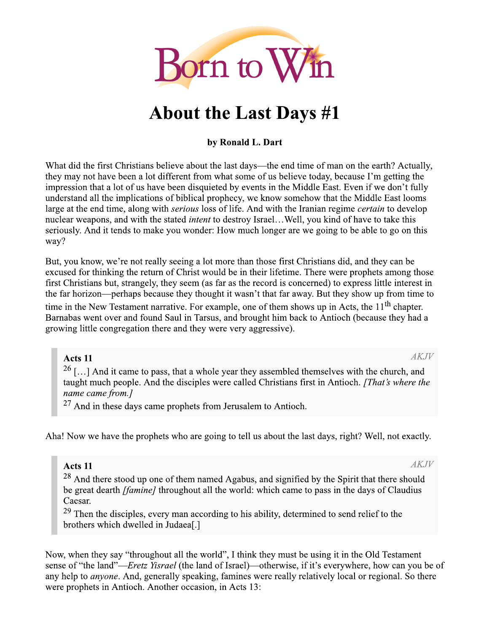

# **About the Last Days #1**

## by Ronald L. Dart

What did the first Christians believe about the last days—the end time of man on the earth? Actually, they may not have been a lot different from what some of us believe today, because I'm getting the impression that a lot of us have been disquieted by events in the Middle East. Even if we don't fully understand all the implications of biblical prophecy, we know somehow that the Middle East looms large at the end time, along with *serious* loss of life. And with the Iranian regime *certain* to develop nuclear weapons, and with the stated *intent* to destroy Israel...Well, you kind of have to take this seriously. And it tends to make you wonder: How much longer are we going to be able to go on this way?

But, you know, we're not really seeing a lot more than those first Christians did, and they can be excused for thinking the return of Christ would be in their lifetime. There were prophets among those first Christians but, strangely, they seem (as far as the record is concerned) to express little interest in the far horizon—perhaps because they thought it wasn't that far away. But they show up from time to time in the New Testament narrative. For example, one of them shows up in Acts, the 11<sup>th</sup> chapter. Barnabas went over and found Saul in Tarsus, and brought him back to Antioch (because they had a growing little congregation there and they were very aggressive).

Acts 11

 $AKJV$ 

<sup>26</sup>[...] And it came to pass, that a whole year they assembled themselves with the church, and taught much people. And the disciples were called Christians first in Antioch. [That's where the name came from.]

 $27$  And in these days came prophets from Jerusalem to Antioch.

Aha! Now we have the prophets who are going to tell us about the last days, right? Well, not exactly.

# Acts 11

<sup>28</sup> And there stood up one of them named Agabus, and signified by the Spirit that there should be great dearth *[famine]* throughout all the world: which came to pass in the days of Claudius Caesar.

 $29$  Then the disciples, every man according to his ability, determined to send relief to the brothers which dwelled in Judaea[.]

Now, when they say "throughout all the world", I think they must be using it in the Old Testament sense of "the land"—*Eretz Yisrael* (the land of Israel)—otherwise, if it's everywhere, how can you be of any help to *anyone*. And, generally speaking, famines were really relatively local or regional. So there were prophets in Antioch. Another occasion, in Acts 13: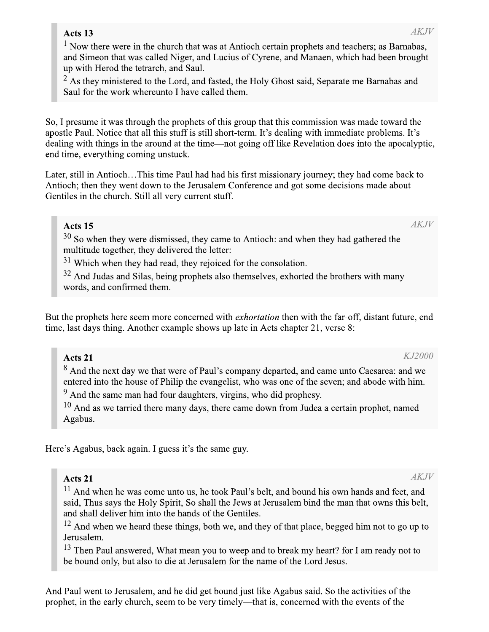# Acts 13

 $1$  Now there were in the church that was at Antioch certain prophets and teachers; as Barnabas, and Simeon that was called Niger, and Lucius of Cyrene, and Manaen, which had been brought up with Herod the tetrarch, and Saul.

 $2$  As they ministered to the Lord, and fasted, the Holy Ghost said, Separate me Barnabas and Saul for the work whereunto I have called them.

So, I presume it was through the prophets of this group that this commission was made toward the apostle Paul. Notice that all this stuff is still short-term. It's dealing with immediate problems. It's dealing with things in the around at the time—not going off like Revelation does into the apocalyptic, end time, everything coming unstuck.

Later, still in Antioch...This time Paul had had his first missionary journey; they had come back to Antioch; then they went down to the Jerusalem Conference and got some decisions made about Gentiles in the church. Still all very current stuff.

## Acts 15

 $30$  So when they were dismissed, they came to Antioch: and when they had gathered the multitude together, they delivered the letter:

 $31$  Which when they had read, they rejoiced for the consolation.

<sup>32</sup> And Judas and Silas, being prophets also themselves, exhorted the brothers with many words, and confirmed them.

But the prophets here seem more concerned with *exhortation* then with the far-off, distant future, end time, last days thing. Another example shows up late in Acts chapter 21, verse 8:

# Acts 21

<sup>8</sup> And the next day we that were of Paul's company departed, and came unto Caesarea: and we entered into the house of Philip the evangelist, who was one of the seven; and abode with him.

<sup>9</sup> And the same man had four daughters, virgins, who did prophesy.

 $10$  And as we tarried there many days, there came down from Judea a certain prophet, named Agabus.

Here's Agabus, back again. I guess it's the same guy.

# Acts 21

<sup>11</sup> And when he was come unto us, he took Paul's belt, and bound his own hands and feet, and said, Thus says the Holy Spirit, So shall the Jews at Jerusalem bind the man that owns this belt, and shall deliver him into the hands of the Gentiles.

 $12$  And when we heard these things, both we, and they of that place, begged him not to go up to Jerusalem.

<sup>13</sup> Then Paul answered, What mean you to weep and to break my heart? for I am ready not to be bound only, but also to die at Jerusalem for the name of the Lord Jesus.

And Paul went to Jerusalem, and he did get bound just like Agabus said. So the activities of the prophet, in the early church, seem to be very timely—that is, concerned with the events of the

KJ2000

 $AKJV$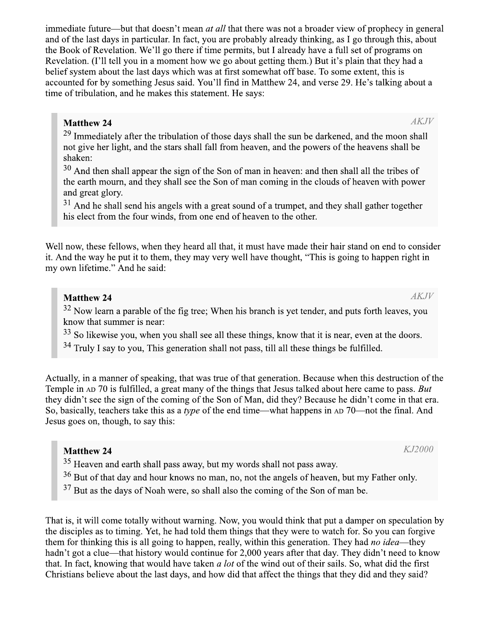immediate future—but that doesn't mean *at all* that there was not a broader view of prophecy in general and of the last days in particular. In fact, you are probably already thinking, as I go through this, about the Book of Revelation. We'll go there if time permits, but I already have a full set of programs on Revelation. (I'll tell you in a moment how we go about getting them.) But it's plain that they had a belief system about the last days which was at first somewhat off base. To some extent, this is accounted for by something Jesus said. You'll find in Matthew 24, and verse 29. He's talking about a time of tribulation, and he makes this statement. He says:

## **Matthew 24**

<sup>29</sup> Immediately after the tribulation of those days shall the sun be darkened, and the moon shall not give her light, and the stars shall fall from heaven, and the powers of the heavens shall be shaken:

 $30$  And then shall appear the sign of the Son of man in heaven: and then shall all the tribes of the earth mourn, and they shall see the Son of man coming in the clouds of heaven with power and great glory.

 $31$  And he shall send his angels with a great sound of a trumpet, and they shall gather together his elect from the four winds, from one end of heaven to the other.

Well now, these fellows, when they heard all that, it must have made their hair stand on end to consider it. And the way he put it to them, they may very well have thought, "This is going to happen right in my own lifetime." And he said:

# **Matthew 24**

<sup>32</sup> Now learn a parable of the fig tree; When his branch is yet tender, and puts forth leaves, you know that summer is near:

<sup>33</sup> So likewise you, when you shall see all these things, know that it is near, even at the doors.

<sup>34</sup> Truly I say to you, This generation shall not pass, till all these things be fulfilled.

Actually, in a manner of speaking, that was true of that generation. Because when this destruction of the Temple in AD 70 is fulfilled, a great many of the things that Jesus talked about here came to pass. But they didn't see the sign of the coming of the Son of Man, did they? Because he didn't come in that era. So, basically, teachers take this as a *type* of the end time—what happens in AD 70—not the final. And Jesus goes on, though, to say this:

# **Matthew 24**

<sup>35</sup> Heaven and earth shall pass away, but my words shall not pass away.

<sup>36</sup> But of that day and hour knows no man, no, not the angels of heaven, but my Father only.

<sup>37</sup> But as the days of Noah were, so shall also the coming of the Son of man be.

That is, it will come totally without warning. Now, you would think that put a damper on speculation by the disciples as to timing. Yet, he had told them things that they were to watch for. So you can forgive them for thinking this is all going to happen, really, within this generation. They had *no idea*—they hadn't got a clue—that history would continue for 2,000 years after that day. They didn't need to know that. In fact, knowing that would have taken a lot of the wind out of their sails. So, what did the first Christians believe about the last days, and how did that affect the things that they did and they said?

 $AKJV$ 

 $AKJV$ 

K.J2000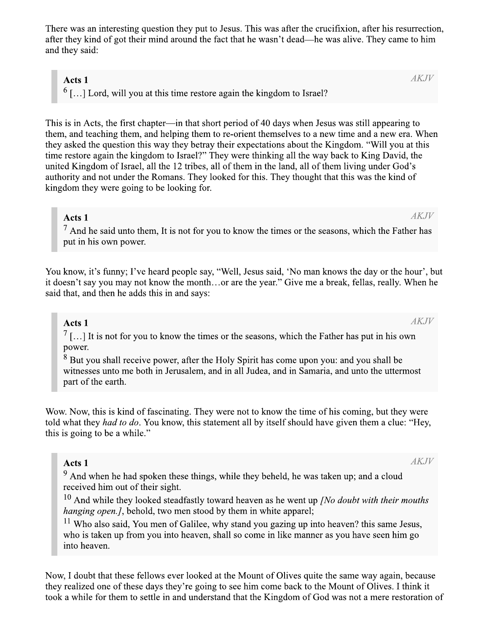There was an interesting question they put to Jesus. This was after the crucifixion, after his resurrection, after they kind of got their mind around the fact that he wasn't dead—he was alive. They came to him and they said:

#### Acts 1

 $6$  [...] Lord, will you at this time restore again the kingdom to Israel?

This is in Acts, the first chapter—in that short period of 40 days when Jesus was still appearing to them, and teaching them, and helping them to re-orient themselves to a new time and a new era. When they asked the question this way they betray their expectations about the Kingdom. "Will you at this time restore again the kingdom to Israel?" They were thinking all the way back to King David, the united Kingdom of Israel, all the 12 tribes, all of them in the land, all of them living under God's authority and not under the Romans. They looked for this. They thought that this was the kind of kingdom they were going to be looking for.

#### Acts 1

 $^7$  And he said unto them, It is not for you to know the times or the seasons, which the Father has put in his own power.

You know, it's funny; I've heard people say, "Well, Jesus said, 'No man knows the day or the hour', but it doesn't say you may not know the month...or are the year." Give me a break, fellas, really. When he said that, and then he adds this in and says:

### Acts 1

 $\frac{7}{1}$ ...] It is not for you to know the times or the seasons, which the Father has put in his own power.

 $\frac{8}{8}$  But you shall receive power, after the Holy Spirit has come upon you: and you shall be witnesses unto me both in Jerusalem, and in all Judea, and in Samaria, and unto the uttermost part of the earth.

Wow. Now, this is kind of fascinating. They were not to know the time of his coming, but they were told what they *had to do*. You know, this statement all by itself should have given them a clue: "Hey, this is going to be a while."

#### Acts 1

<sup>9</sup> And when he had spoken these things, while they beheld, he was taken up; and a cloud received him out of their sight.

 $10$  And while they looked steadfastly toward heaven as he went up *[No doubt with their mouths hanging open.]*, behold, two men stood by them in white apparel;

 $11$  Who also said, You men of Galilee, why stand you gazing up into heaven? this same Jesus, who is taken up from you into heaven, shall so come in like manner as you have seen him go into heaven.

Now, I doubt that these fellows ever looked at the Mount of Olives quite the same way again, because they realized one of these days they're going to see him come back to the Mount of Olives. I think it took a while for them to settle in and understand that the Kingdom of God was not a mere restoration of

**AKJV** 

**AKJV** 

**AKJV**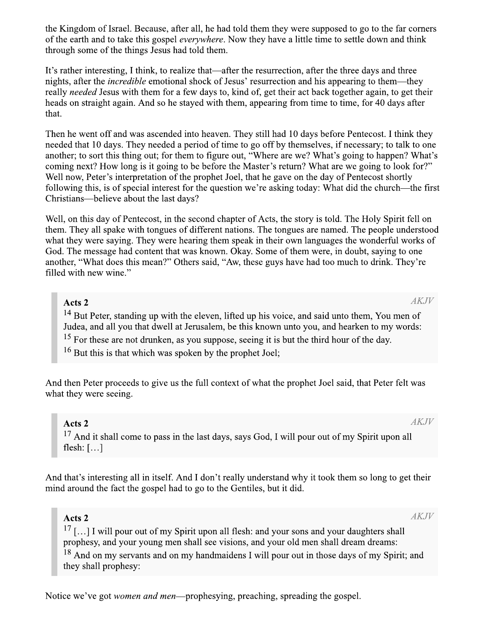the Kingdom of Israel. Because, after all, he had told them they were supposed to go to the far corners of the earth and to take this gospel *everywhere*. Now they have a little time to settle down and think through some of the things Jesus had told them.

It's rather interesting, I think, to realize that—after the resurrection, after the three days and three nights, after the *incredible* emotional shock of Jesus' resurrection and his appearing to them—they really needed Jesus with them for a few days to, kind of, get their act back together again, to get their heads on straight again. And so he stayed with them, appearing from time to time, for 40 days after that.

Then he went off and was ascended into heaven. They still had 10 days before Pentecost. I think they needed that 10 days. They needed a period of time to go off by themselves, if necessary; to talk to one another; to sort this thing out; for them to figure out, "Where are we? What's going to happen? What's coming next? How long is it going to be before the Master's return? What are we going to look for?" Well now, Peter's interpretation of the prophet Joel, that he gave on the day of Pentecost shortly following this, is of special interest for the question we're asking today: What did the church—the first Christians—believe about the last days?

Well, on this day of Pentecost, in the second chapter of Acts, the story is told. The Holy Spirit fell on them. They all spake with tongues of different nations. The tongues are named. The people understood what they were saying. They were hearing them speak in their own languages the wonderful works of God. The message had content that was known. Okay. Some of them were, in doubt, saying to one another, "What does this mean?" Others said, "Aw, these guys have had too much to drink. They're filled with new wine."

## Acts 2

**AKJV** 

<sup>14</sup> But Peter, standing up with the eleven, lifted up his voice, and said unto them, You men of Judea, and all you that dwell at Jerusalem, be this known unto you, and hearken to my words:

<sup>15</sup> For these are not drunken, as you suppose, seeing it is but the third hour of the day.

 $16$  But this is that which was spoken by the prophet Joel:

And then Peter proceeds to give us the full context of what the prophet Joel said, that Peter felt was what they were seeing.

## Acts<sub>2</sub>

<sup>17</sup> And it shall come to pass in the last days, says God, I will pour out of my Spirit upon all flesh:  $[\ldots]$ 

And that's interesting all in itself. And I don't really understand why it took them so long to get their mind around the fact the gospel had to go to the Gentiles, but it did.

### Acts 2

 $AKJV$ 

 $AKJV$ 

 $17$  [...] I will pour out of my Spirit upon all flesh: and your sons and your daughters shall prophesy, and your young men shall see visions, and your old men shall dream dreams: <sup>18</sup> And on my servants and on my handmaidens I will pour out in those days of my Spirit; and they shall prophesy:

Notice we've got *women and men*—prophesying, preaching, spreading the gospel.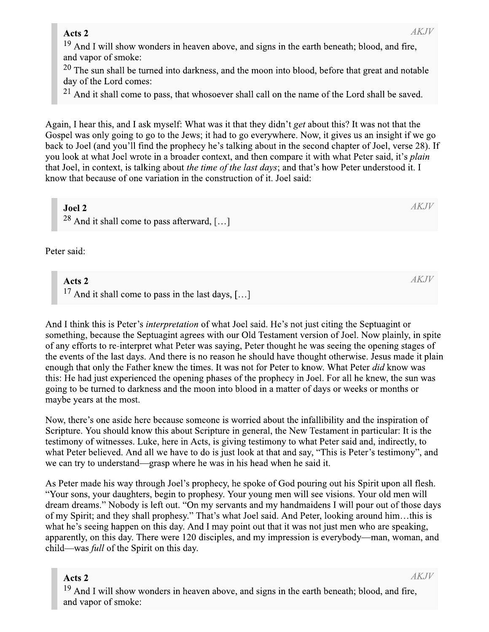| AK H<br>Acts 2                                                                                      |
|-----------------------------------------------------------------------------------------------------|
| $19$ And I will show wonders in heaven above, and signs in the earth beneath; blood, and fire,      |
| and vapor of smoke:                                                                                 |
| $120$ The sun shall be turned into darkness, and the moon into blood, before that great and notable |
| day of the Lord comes:                                                                              |

 $^{21}$  And it shall come to pass, that whosoever shall call on the name of the Lord shall be saved.

Again, I hear this, and I ask myself: What was it that they didn't get about this? It was not that the Gospel was only going to go to the Jews; it had to go everywhere. Now, it gives us an insight if we go back to Joel (and you'll find the prophecy he's talking about in the second chapter of Joel, verse 28). If you look at what Joel wrote in a broader context, and then compare it with what Peter said, it's plain that Joel, in context, is talking about *the time of the last days*; and that's how Peter understood it. I know that because of one variation in the construction of it. Joel said:

Joel 2

<sup>28</sup> And it shall come to pass afterward, [...]

Peter said:

### Acts 2

<sup>17</sup> And it shall come to pass in the last days, [...]

And I think this is Peter's *interpretation* of what Joel said. He's not just citing the Septuagint or something, because the Septuagint agrees with our Old Testament version of Joel. Now plainly, in spite of any efforts to re-interpret what Peter was saying, Peter thought he was seeing the opening stages of the events of the last days. And there is no reason he should have thought otherwise. Jesus made it plain enough that only the Father knew the times. It was not for Peter to know. What Peter did know was this: He had just experienced the opening phases of the prophecy in Joel. For all he knew, the sun was going to be turned to darkness and the moon into blood in a matter of days or weeks or months or maybe years at the most.

Now, there's one aside here because someone is worried about the infallibility and the inspiration of Scripture. You should know this about Scripture in general, the New Testament in particular: It is the testimony of witnesses. Luke, here in Acts, is giving testimony to what Peter said and, indirectly, to what Peter believed. And all we have to do is just look at that and say, "This is Peter's testimony", and we can try to understand—grasp where he was in his head when he said it.

As Peter made his way through Joel's prophecy, he spoke of God pouring out his Spirit upon all flesh. "Your sons, your daughters, begin to prophesy. Your young men will see visions. Your old men will dream dreams." Nobody is left out. "On my servants and my handmaidens I will pour out of those days of my Spirit; and they shall prophesy." That's what Joel said. And Peter, looking around him...this is what he's seeing happen on this day. And I may point out that it was not just men who are speaking, apparently, on this day. There were 120 disciples, and my impression is everybody—man, woman, and child—was *full* of the Spirit on this day.

# Acts 2

 $AKJV$ 

<sup>19</sup> And I will show wonders in heaven above, and signs in the earth beneath; blood, and fire, and vapor of smoke:

 $AKJV$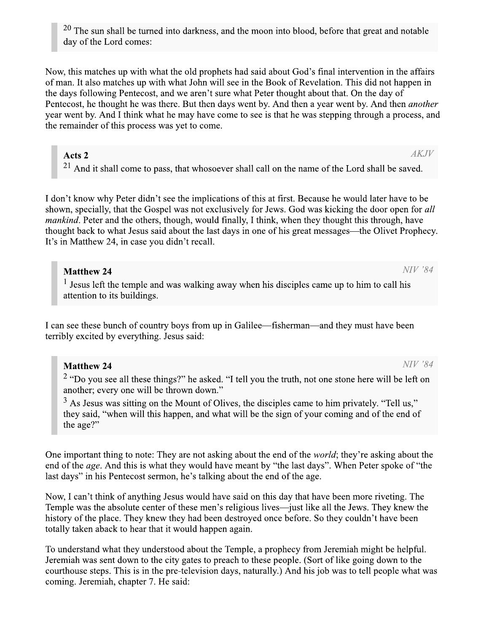$20$  The sun shall be turned into darkness, and the moon into blood, before that great and notable day of the Lord comes:

Now, this matches up with what the old prophets had said about God's final intervention in the affairs of man. It also matches up with what John will see in the Book of Revelation. This did not happen in the days following Pentecost, and we aren't sure what Peter thought about that. On the day of Pentecost, he thought he was there. But then days went by. And then a year went by. And then *another* year went by. And I think what he may have come to see is that he was stepping through a process, and the remainder of this process was yet to come.

## Acts 2

 $AKJV$ 

 $21$  And it shall come to pass, that whosoever shall call on the name of the Lord shall be saved.

I don't know why Peter didn't see the implications of this at first. Because he would later have to be shown, specially, that the Gospel was not exclusively for Jews. God was kicking the door open for all *mankind*. Peter and the others, though, would finally, I think, when they thought this through, have thought back to what Jesus said about the last days in one of his great messages—the Olivet Prophecy. It's in Matthew 24, in case you didn't recall.

# **Matthew 24**

 $<sup>1</sup>$  Jesus left the temple and was walking away when his disciples came up to him to call his</sup> attention to its buildings.

I can see these bunch of country boys from up in Galilee—fisherman—and they must have been terribly excited by everything. Jesus said:

# **Matthew 24**

<sup>2</sup> "Do you see all these things?" he asked. "I tell you the truth, not one stone here will be left on another; every one will be thrown down."

<sup>3</sup> As Jesus was sitting on the Mount of Olives, the disciples came to him privately. "Tell us," they said, "when will this happen, and what will be the sign of your coming and of the end of the age?"

One important thing to note: They are not asking about the end of the *world*; they're asking about the end of the *age*. And this is what they would have meant by "the last days". When Peter spoke of "the last days" in his Pentecost sermon, he's talking about the end of the age.

Now, I can't think of anything Jesus would have said on this day that have been more riveting. The Temple was the absolute center of these men's religious lives—just like all the Jews. They knew the history of the place. They knew they had been destroyed once before. So they couldn't have been totally taken aback to hear that it would happen again.

To understand what they understood about the Temple, a prophecy from Jeremiah might be helpful. Jeremiah was sent down to the city gates to preach to these people. (Sort of like going down to the courthouse steps. This is in the pre-television days, naturally.) And his job was to tell people what was coming. Jeremiah, chapter 7. He said:

NIV '84

NIV '84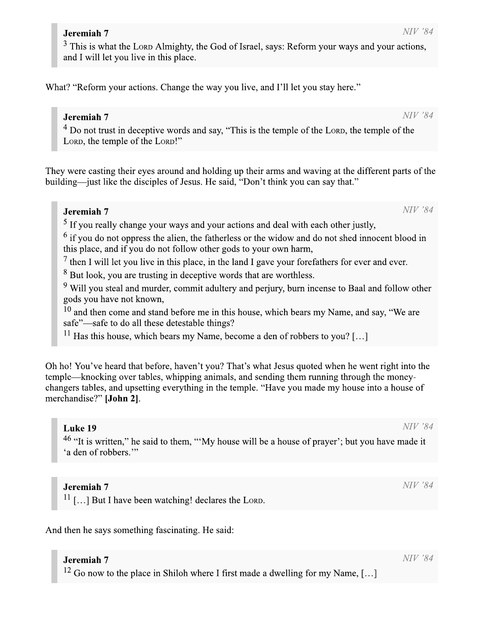<sup>3</sup> This is what remiah 7<br>This is what the Loro Almighty, the God<br>d I will let you live in this place.<br>"Reform your actions. Change the way y d of Israel, says: Reform your ways and your actions. and I will let you live in this place  $NIV$  '84 by, the God of Israel, says: Reform your ways and your actions, ce.

What? "Reform your actions. Change the way you live, and I'll let you stay here."

# Jeremiah 7

 $4$  Do not trust in deceptive words and say, "This is the temple of the LORD, the temple of the nd I'll let you stay here."<br>
e temple of the Loro, the temple of<br>
arms and waving at the different pa<br>
think you can say that."

They were casting their eyes around and holding up their arms and waving at the different parts of the building—iust like the disciples of Jesus. He said, "Don't think you can say that." f Jesus. He said, "Don't think you can say that." What? "Reform your act<br>  $J$ <br>  $\frac{1}{4}$  Do not trust in dec<br>
Lorp, the temple of<br>
They were casting their explicitly<br>
building—just like the diverse of or where."<br> **h 7**<br>
t trust in deceptive words and say, "This is the temple of the Loro, the temple of the<br>
temple of the Loro, the temple of the<br>
e temple of the Loro, the temple of the<br>
temple of the Loro, the temple of t

# Jeremiah 7

 $<sup>5</sup>$  If you really change your ways and your actions and deal with each other justly.</sup>

 $\frac{6}{11}$  if you do not oppress the alien, the fatherless or the widow and do not shed innocent blood in this place, and if you do not follow other gods to your own harm.

 $\frac{1}{2}$  then I will let you live in this place, in the land I gave your forefathers for ever and ever.

 $8$  But look, you are trusting in deceptive words that are worthless.

 $\frac{9}{2}$  Will vou steal and murder, commit adultery and periury, burn incense to Baal and follow other gods you have not known.

 $\frac{10}{10}$  and then come and stand before me in this house, which bears my Name, and say, "We are safe"—safe to do all these detestable things?

<sup>11</sup> Has this house, which bears my Name, become a den of robbers to you? [...]

<sup>o</sup> But look, you are t<br>
<sup>9</sup> Will you steal and<br>
gods you have not k<br>
<sup>10</sup> and then come an<br>
safe"—safe to do all<br>
<sup>11</sup> Has this house, w<br>
Oh ho! You've heard tha<br>
temple—knocking over t<br>
changers tables, and upse<br>
mercha ! You've heard that before, haven't you? That's what Jesus quoted when he went right into the  $t$  temple—knocking over tables, whipping animals, and sending them running through the money- $\alpha$  changers tables, and upsetting everything in the temple. "Have you made my house into a house of merchandise?" [John 2].

### Luke 19

<sup>46</sup> "It is written." he said to them. ""My house will be a house of praver": but you have made it 'a den of rob tten," he said to them, "'My house will be a house of prayer'; but you have made it bbers." m, "'My house will be a house of p<br>ng! declares the Lorp.<br>ting. He said:

### Jeremiah 7

 $^{11}$  [...] But I have been watching! declare

And then he says something fascinating. He said:

### Jeremiah 7

**Jeremiah 7**<br><sup>12</sup> Go now to the place in Shiloh where I first made a dwelling for my Name. [...]

 $NIV$ '84

 $NIV$ '84

## Jeremiah 7